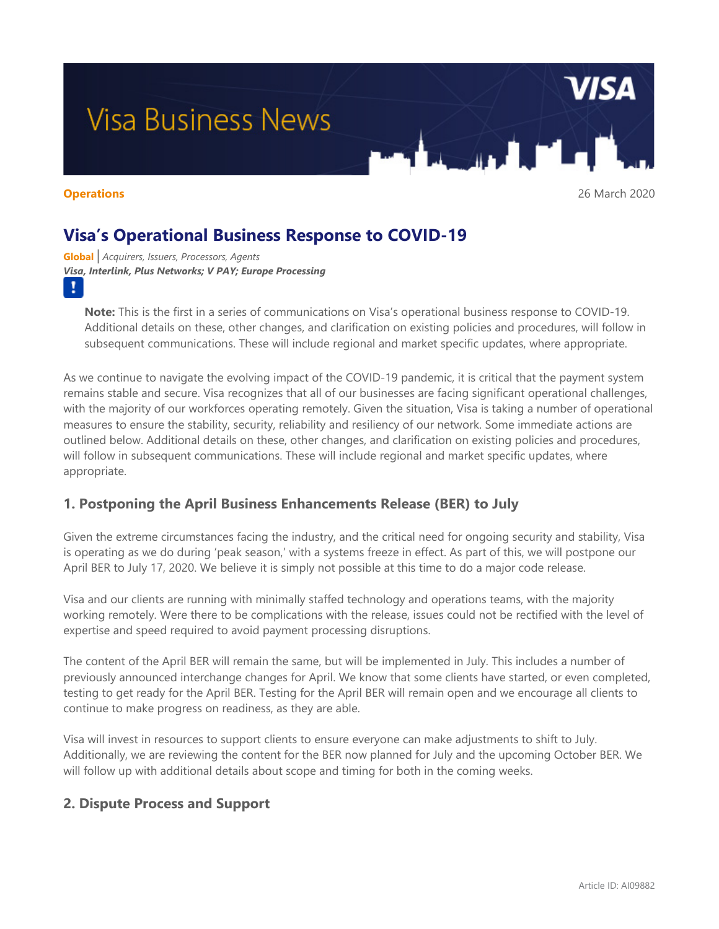# **Visa Business News**

**Operations** 26 March 2020

## **Visa's Operational Business Response to COVID-19**

**Global** *| Acquirers, Issuers, Processors, Agents Visa, Interlink, Plus Networks; V PAY; Europe Processing* т

**Note:** This is the first in a series of communications on Visa's operational business response to COVID-19. Additional details on these, other changes, and clarification on existing policies and procedures, will follow in subsequent communications. These will include regional and market specific updates, where appropriate.

As we continue to navigate the evolving impact of the COVID-19 pandemic, it is critical that the payment system remains stable and secure. Visa recognizes that all of our businesses are facing significant operational challenges, with the majority of our workforces operating remotely. Given the situation, Visa is taking a number of operational measures to ensure the stability, security, reliability and resiliency of our network. Some immediate actions are outlined below. Additional details on these, other changes, and clarification on existing policies and procedures, will follow in subsequent communications. These will include regional and market specific updates, where appropriate.

### **1. Postponing the April Business Enhancements Release (BER) to July**

Given the extreme circumstances facing the industry, and the critical need for ongoing security and stability, Visa is operating as we do during 'peak season,' with a systems freeze in effect. As part of this, we will postpone our April BER to July 17, 2020. We believe it is simply not possible at this time to do a major code release.

Visa and our clients are running with minimally staffed technology and operations teams, with the majority working remotely. Were there to be complications with the release, issues could not be rectified with the level of expertise and speed required to avoid payment processing disruptions.

The content of the April BER will remain the same, but will be implemented in July. This includes a number of previously announced interchange changes for April. We know that some clients have started, or even completed, testing to get ready for the April BER. Testing for the April BER will remain open and we encourage all clients to continue to make progress on readiness, as they are able.

Visa will invest in resources to support clients to ensure everyone can make adjustments to shift to July. Additionally, we are reviewing the content for the BER now planned for July and the upcoming October BER. We will follow up with additional details about scope and timing for both in the coming weeks.

### **2. Dispute Process and Support**